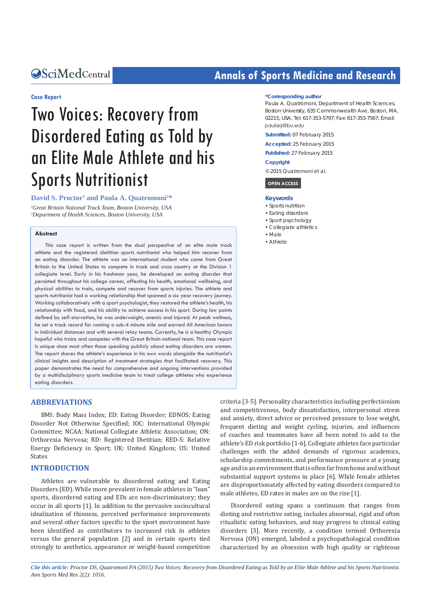#### **Case Report**

# Two Voices: Recovery from Disordered Eating as Told by an Elite Male Athlete and his Sports Nutritionist

**David S. Proctor1 and Paula A. Quatromoni2 \*** *1 Great Britain National Track Team, Boston University, USA 2 Department of Health Sciences, Boston University, USA*

#### **Abstract**

This case report is written from the dual perspective of an elite male track athlete and the registered dietitian sports nutritionist who helped him recover from an eating disorder. The athlete was an international student who came from Great Britain to the United States to compete in track and cross country at the Division 1 collegiate level. Early in his freshman year, he developed an eating disorder that persisted throughout his college career, affecting his health, emotional wellbeing, and physical abilities to train, compete and recover from sports injuries. The athlete and sports nutritionist had a working relationship that spanned a six year recovery journey. Working collaboratively with a sport psychologist, they restored the athlete's health, his relationship with food, and his ability to achieve success in his sport. During low points defined by self-starvation, he was underweight, anemic and injured. At peak wellness, he set a track record for running a sub-4 minute mile and earned All American honors in individual distances and with several relay teams. Currently, he is a healthy Olympic hopeful who trains and competes with the Great Britain national team. This case report is unique since most often those speaking publicly about eating disorders are women. The report shares the athlete's experience in his own words alongside the nutritionist's clinical insights and description of treatment strategies that facilitated recovery. This paper demonstrates the need for comprehensive and ongoing interventions provided by a multidisciplinary sports medicine team to treat college athletes who experience eating disorders.

### **ABBREVIATIONS**

BMI: Body Mass Index; ED: Eating Disorder; EDNOS: Eating Disorder Not Otherwise Specified; IOC: International Olympic Committee; NCAA: National Collegiate Athletic Association; ON: Orthorexia Nervosa; RD: Registered Dietitian; RED-S: Relative Energy Deficiency in Sport; UK: United Kingdom; US: United States

#### **INTRODUCTION**

Athletes are vulnerable to disordered eating and Eating Disorders (ED). While more prevalent in female athletes in "lean" sports, disordered eating and EDs are non-discriminatory; they occur in all sports [1]. In addition to the pervasive sociocultural idealization of thinness, perceived performance improvements and several other factors specific to the sport environment have been identified as contributors to increased risk in athletes versus the general population [2] and in certain sports tied strongly to aesthetics, appearance or weight-based competition

## **CALCED Annals of Sports Medicine and Research Annals of Sports Medicine and Research**

#### **\*Corresponding author**

Paula A. Quatromoni, Department of Health Sciences, Boston University, 635 Commonwealth Ave, Boston, MA, 02215, USA, Tel: 617-353-5797; Fax: 617-353-7567; Email: paulag@bu.edu

**Submitted:** 07 February 2015

**Accepted:** 25 February 2015

**Published:** 27 February 2015

#### **Copyright**

© 2015 Quatromoni et al.



#### **Keywords**

- • Sports nutrition
- Eating disorders
- • Sport psychology
- • Collegiate athletics
- • Male • Athlete

criteria [3-5]. Personality characteristics including perfectionism and competitiveness, body dissatisfaction, interpersonal stress and anxiety, direct advice or perceived pressure to lose weight, frequent dieting and weight cycling, injuries, and influences of coaches and teammates have all been noted to add to the athlete's ED risk portfolio [1-6]. Collegiate athletes face particular challenges with the added demands of rigorous academics, scholarship commitments, and performance pressure at a young age and in an environment that is often far from home and without substantial support systems in place [6]. While female athletes are disproportionately affected by eating disorders compared to male athletes, ED rates in males are on the rise [1].

Disordered eating spans a continuum that ranges from dieting and restrictive eating, includes abnormal, rigid and often ritualistic eating behaviors, and may progress to clinical eating disorders [3]. More recently, a condition termed Orthorexia Nervosa (ON) emerged, labeled a psychopathological condition characterized by an obsession with high quality or righteous

*Cite this article: Proctor DS, Quatromoni PA (2015) Two Voices: Recovery from Disordered Eating as Told by an Elite Male Athlete and his Sports Nutritionist. Ann Sports Med Res 2(2): 1016.*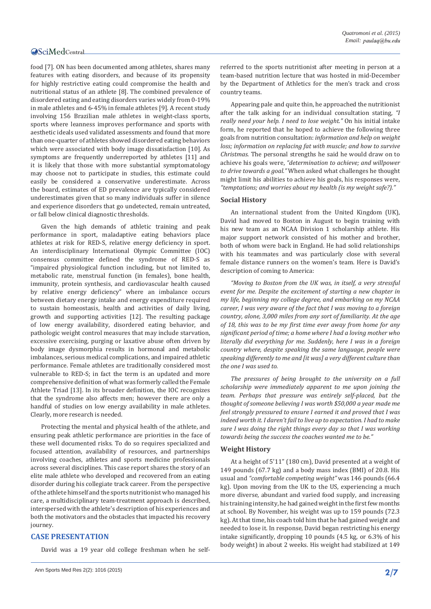food [7]. ON has been documented among athletes, shares many features with eating disorders, and because of its propensity for highly restrictive eating could compromise the health and nutritional status of an athlete [8]. The combined prevalence of disordered eating and eating disorders varies widely from 0-19% in male athletes and 6-45% in female athletes [9]. A recent study involving 156 Brazilian male athletes in weight-class sports, sports where leanness improves performance and sports with aesthetic ideals used validated assessments and found that more than one-quarter of athletes showed disordered eating behaviors which were associated with body image dissatisfaction [10]. As symptoms are frequently underreported by athletes [11] and it is likely that those with more substantial symptomatology may choose not to participate in studies, this estimate could easily be considered a conservative underestimate. Across the board, estimates of ED prevalence are typically considered underestimates given that so many individuals suffer in silence and experience disorders that go undetected, remain untreated, or fall below clinical diagnostic thresholds.

Given the high demands of athletic training and peak performance in sport, maladaptive eating behaviors place athletes at risk for RED-S, relative energy deficiency in sport. An interdisciplinary International Olympic Committee (IOC) consensus committee defined the syndrome of RED-S as "impaired physiological function including, but not limited to, metabolic rate, menstrual function (in females), bone health, immunity, protein synthesis, and cardiovascular health caused by relative energy deficiency" where an imbalance occurs between dietary energy intake and energy expenditure required to sustain homeostasis, health and activities of daily living, growth and supporting activities [12]. The resulting package of low energy availability, disordered eating behavior, and pathologic weight control measures that may include starvation, excessive exercising, purging or laxative abuse often driven by body image dysmorphia results in hormonal and metabolic imbalances, serious medical complications, and impaired athletic performance. Female athletes are traditionally considered most vulnerable to RED-S; in fact the term is an updated and more comprehensive definition of what was formerly called the Female Athlete Triad [13]. In its broader definition, the IOC recognizes that the syndrome also affects men; however there are only a handful of studies on low energy availability in male athletes. Clearly, more research is needed.

Protecting the mental and physical health of the athlete, and ensuring peak athletic performance are priorities in the face of these well documented risks. To do so requires specialized and focused attention, availability of resources, and partnerships involving coaches, athletes and sports medicine professionals across several disciplines. This case report shares the story of an elite male athlete who developed and recovered from an eating disorder during his collegiate track career. From the perspective of the athlete himself and the sports nutritionist who managed his care, a multidisciplinary team-treatment approach is described, interspersed with the athlete's description of his experiences and both the motivators and the obstacles that impacted his recovery journey.

#### **CASE PRESENTATION**

David was a 19 year old college freshman when he self-

referred to the sports nutritionist after meeting in person at a team-based nutrition lecture that was hosted in mid-December by the Department of Athletics for the men's track and cross country teams.

Appearing pale and quite thin, he approached the nutritionist after the talk asking for an individual consultation stating, *"I really need your help. I need to lose weight."* On his initial intake form, he reported that he hoped to achieve the following three goals from nutrition consultation: *information and help on weight loss; information on replacing fat with muscle; and how to survive Christmas*. The personal strengths he said he would draw on to achieve his goals were, *"determination to achieve; and willpower to drive towards a goal."* When asked what challenges he thought might limit his abilities to achieve his goals, his responses were, *"temptations; and worries about my health (is my weight safe?)."*

#### **Social History**

An international student from the United Kingdom (UK), David had moved to Boston in August to begin training with his new team as an NCAA Division 1 scholarship athlete. His major support network consisted of his mother and brother, both of whom were back in England. He had solid relationships with his teammates and was particularly close with several female distance runners on the women's team. Here is David's description of coming to America:

*"Moving to Boston from the UK was, in itself, a very stressful event for me. Despite the excitement of starting a new chapter in my life, beginning my college degree, and embarking on my NCAA career, I was very aware of the fact that I was moving to a foreign country, alone, 3,000 miles from any sort of familiarity. At the age of 18, this was to be my first time ever away from home for any significant period of time; a home where I had a loving mother who literally did everything for me. Suddenly, here I was in a foreign country where, despite speaking the same language, people were speaking differently to me and [it was] a very different culture than the one I was used to.*

*The pressures of being brought to the university on a full scholarship were immediately apparent to me upon joining the team. Perhaps that pressure was entirely self-placed, but the thought of someone believing I was worth \$50,000 a year made me feel strongly pressured to ensure I earned it and proved that I was indeed worth it. I daren't fail to live up to expectation. I had to make sure I was doing the right things every day so that I was working towards being the success the coaches wanted me to be."*

#### **Weight History**

At a height of 5'11" (180 cm), David presented at a weight of 149 pounds (67.7 kg) and a body mass index (BMI) of 20.8. His usual and *"comfortable competing weight"* was 146 pounds (66.4 kg). Upon moving from the UK to the US, experiencing a much more diverse, abundant and varied food supply, and increasing his training intensity, he had gained weight in the first few months at school. By November, his weight was up to 159 pounds (72.3 kg). At that time, his coach told him that he had gained weight and needed to lose it. In response, David began restricting his energy intake significantly, dropping 10 pounds (4.5 kg, or 6.3% of his body weight) in about 2 weeks. His weight had stabilized at 149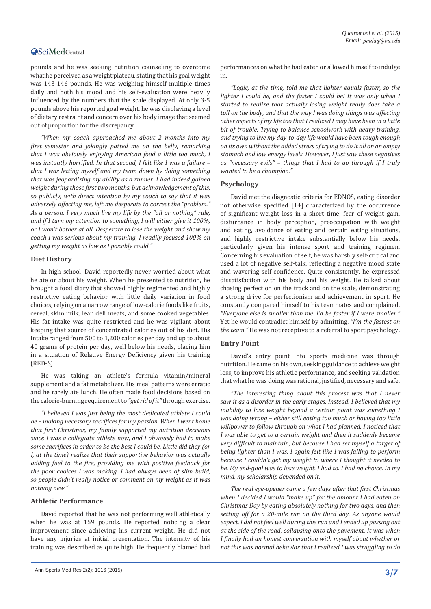pounds and he was seeking nutrition counseling to overcome what he perceived as a weight plateau, stating that his goal weight was 143-146 pounds. He was weighing himself multiple times daily and both his mood and his self-evaluation were heavily influenced by the numbers that the scale displayed. At only 3-5 pounds above his reported goal weight, he was displaying a level of dietary restraint and concern over his body image that seemed out of proportion for the discrepancy.

*"When my coach approached me about 2 months into my first semester and jokingly patted me on the belly, remarking that I was obviously enjoying American food a little too much, I was instantly horrified. In that second, I felt like I was a failure – that I was letting myself and my team down by doing something that was jeopardizing my ability as a runner. I had indeed gained weight during those first two months, but acknowledgement of this, so publicly, with direct intention by my coach to say that it was adversely affecting me, left me desperate to correct the "problem." As a person, I very much live my life by the "all or nothing" rule, and if I turn my attention to something, I will either give it 100%, or I won't bother at all. Desperate to lose the weight and show my coach I was serious about my training, I readily focused 100% on getting my weight as low as I possibly could."*

#### **Diet History**

In high school, David reportedly never worried about what he ate or about his weight. When he presented to nutrition, he brought a food diary that showed highly regimented and highly restrictive eating behavior with little daily variation in food choices, relying on a narrow range of low-calorie foods like fruits, cereal, skim milk, lean deli meats, and some cooked vegetables. His fat intake was quite restricted and he was vigilant about keeping that source of concentrated calories out of his diet. His intake ranged from 500 to 1,200 calories per day and up to about 40 grams of protein per day, well below his needs, placing him in a situation of Relative Energy Deficiency given his training (RED-S).

He was taking an athlete's formula vitamin/mineral supplement and a fat metabolizer. His meal patterns were erratic and he rarely ate lunch. He often made food decisions based on the calorie-burning requirement to *"get rid of it"* through exercise.

*"I believed I was just being the most dedicated athlete I could be – making necessary sacrifices for my passion. When I went home that first Christmas, my family supported my nutrition decisions since I was a collegiate athlete now, and I obviously had to make some sacrifices in order to be the best I could be. Little did they (or I, at the time) realize that their supportive behavior was actually adding fuel to the fire, providing me with positive feedback for the poor choices I was making. I had always been of slim build, so people didn't really notice or comment on my weight as it was nothing new."*

#### **Athletic Performance**

David reported that he was not performing well athletically when he was at 159 pounds. He reported noticing a clear improvement since achieving his current weight. He did not have any injuries at initial presentation. The intensity of his training was described as quite high. He frequently blamed bad

performances on what he had eaten or allowed himself to indulge in.

*"Logic, at the time, told me that lighter equals faster, so the lighter I could be, and the faster I could be! It was only when I started to realize that actually losing weight really does take a toll on the body, and that the way I was doing things was affecting other aspects of my life too that I realized I may have been in a little bit of trouble. Trying to balance schoolwork with heavy training, and trying to live my day-to-day life would have been tough enough on its own without the added stress of trying to do it all on an empty stomach and low energy levels. However, I just saw these negatives as "necessary evils" – things that I had to go through if I truly wanted to be a champion."*

#### **Psychology**

David met the diagnostic criteria for EDNOS, eating disorder not otherwise specified [14] characterized by the occurrence of significant weight loss in a short time, fear of weight gain, disturbance in body perception, preoccupation with weight and eating, avoidance of eating and certain eating situations, and highly restrictive intake substantially below his needs, particularly given his intense sport and training regimen. Concerning his evaluation of self, he was harshly self-critical and used a lot of negative self-talk, reflecting a negative mood state and wavering self-confidence. Quite consistently, he expressed dissatisfaction with his body and his weight. He talked about chasing perfection on the track and on the scale, demonstrating a strong drive for perfectionism and achievement in sport. He constantly compared himself to his teammates and complained, *"Everyone else is smaller than me. I'd be faster if I were smaller."*  Yet he would contradict himself by admitting, *"I'm the fastest on the team."* He was not receptive to a referral to sport psychology.

#### **Entry Point**

David's entry point into sports medicine was through nutrition. He came on his own, seeking guidance to achieve weight loss, to improve his athletic performance, and seeking validation that what he was doing was rational, justified, necessary and safe.

*"The interesting thing about this process was that I never saw it as a disorder in the early stages. Instead, I believed that my inability to lose weight beyond a certain point was something I was doing wrong – either still eating too much or having too little willpower to follow through on what I had planned. I noticed that I was able to get to a certain weight and then it suddenly became very difficult to maintain, but because I had set myself a target of being lighter than I was, I again felt like I was failing to perform because I couldn't get my weight to where I thought it needed to be. My end-goal was to lose weight. I had to. I had no choice. In my mind, my scholarship depended on it.*

*The real eye-opener came a few days after that first Christmas when I decided I would "make up" for the amount I had eaten on Christmas Day by eating absolutely nothing for two days, and then setting off for a 20-mile run on the third day. As anyone would expect, I did not feel well during this run and I ended up passing out at the side of the road, collapsing onto the pavement. It was when I finally had an honest conversation with myself about whether or not this was normal behavior that I realized I was struggling to do*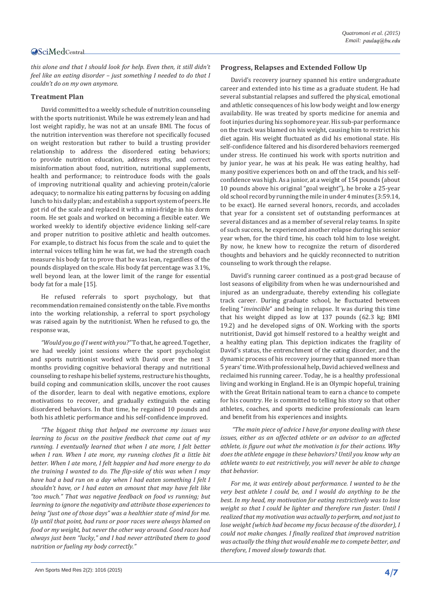*this alone and that I should look for help. Even then, it still didn't feel like an eating disorder – just something I needed to do that I couldn't do on my own anymore.*

#### **Treatment Plan**

David committed to a weekly schedule of nutrition counseling with the sports nutritionist. While he was extremely lean and had lost weight rapidly, he was not at an unsafe BMI. The focus of the nutrition intervention was therefore not specifically focused on weight restoration but rather to build a trusting provider relationship to address the disordered eating behaviors; to provide nutrition education, address myths, and correct misinformation about food, nutrition, nutritional supplements, health and performance; to reintroduce foods with the goals of improving nutritional quality and achieving protein/calorie adequacy; to normalize his eating patterns by focusing on adding lunch to his daily plan; and establish a support system of peers. He got rid of the scale and replaced it with a mini-fridge in his dorm room. He set goals and worked on becoming a flexible eater. We worked weekly to identify objective evidence linking self-care and proper nutrition to positive athletic and health outcomes. For example, to distract his focus from the scale and to quiet the internal voices telling him he was fat, we had the strength coach measure his body fat to prove that he was lean, regardless of the pounds displayed on the scale. His body fat percentage was 3.1%, well beyond lean, at the lower limit of the range for essential body fat for a male [15].

He refused referrals to sport psychology, but that recommendation remained consistently on the table. Five months into the working relationship, a referral to sport psychology was raised again by the nutritionist. When he refused to go, the response was,

*"Would you go if I went with you?"* To that, he agreed. Together, we had weekly joint sessions where the sport psychologist and sports nutritionist worked with David over the next 3 months providing cognitive behavioral therapy and nutritional counseling to reshape his belief systems, restructure his thoughts, build coping and communication skills, uncover the root causes of the disorder, learn to deal with negative emotions, explore motivations to recover, and gradually extinguish the eating disordered behaviors. In that time, he regained 10 pounds and both his athletic performance and his self-confidence improved.

*"The biggest thing that helped me overcome my issues was learning to focus on the positive feedback that came out of my running. I eventually learned that when I ate more, I felt better when I ran. When I ate more, my running clothes fit a little bit better. When I ate more, I felt happier and had more energy to do the training I wanted to do. The flip-side of this was when I may have had a bad run on a day when I had eaten something I felt I shouldn't have, or I had eaten an amount that may have felt like "too much." That was negative feedback on food vs running; but learning to ignore the negativity and attribute those experiences to being "just one of those days" was a healthier state of mind for me. Up until that point, bad runs or poor races were always blamed on food or my weight, but never the other way around. Good races had always just been "lucky," and I had never attributed them to good nutrition or fueling my body correctly."*

#### **Progress, Relapses and Extended Follow Up**

David's recovery journey spanned his entire undergraduate career and extended into his time as a graduate student. He had several substantial relapses and suffered the physical, emotional and athletic consequences of his low body weight and low energy availability. He was treated by sports medicine for anemia and foot injuries during his sophomore year. His sub-par performance on the track was blamed on his weight, causing him to restrict his diet again. His weight fluctuated as did his emotional state. His self-confidence faltered and his disordered behaviors reemerged under stress. He continued his work with sports nutrition and by junior year, he was at his peak. He was eating healthy, had many positive experiences both on and off the track, and his selfconfidence was high. As a junior, at a weight of 154 pounds (about 10 pounds above his original "goal weight"), he broke a 25-year old school record by running the mile in under 4 minutes (3:59.14, to be exact). He earned several honors, records, and accolades that year for a consistent set of outstanding performances at several distances and as a member of several relay teams. In spite of such success, he experienced another relapse during his senior year when, for the third time, his coach told him to lose weight. By now, he knew how to recognize the return of disordered thoughts and behaviors and he quickly reconnected to nutrition counseling to work through the relapse.

David's running career continued as a post-grad because of lost seasons of eligibility from when he was undernourished and injured as an undergraduate, thereby extending his collegiate track career. During graduate school, he fluctuated between feeling "*invincible*" and being in relapse. It was during this time that his weight dipped as low at 137 pounds (62.3 kg; BMI 19.2) and he developed signs of ON. Working with the sports nutritionist, David got himself restored to a healthy weight and a healthy eating plan. This depiction indicates the fragility of David's status, the entrenchment of the eating disorder, and the dynamic process of his recovery journey that spanned more than 5 years' time. With professional help, David achieved wellness and reclaimed his running career. Today, he is a healthy professional living and working in England. He is an Olympic hopeful, training with the Great Britain national team to earn a chance to compete for his country. He is committed to telling his story so that other athletes, coaches, and sports medicine professionals can learn and benefit from his experiences and insights.

 *"The main piece of advice I have for anyone dealing with these issues, either as an affected athlete or an advisor to an affected athlete, is figure out what the motivation is for their actions. Why does the athlete engage in these behaviors? Until you know why an athlete wants to eat restrictively, you will never be able to change that behavior.*

*For me, it was entirely about performance. I wanted to be the very best athlete I could be, and I would do anything to be the best. In my head, my motivation for eating restrictively was to lose weight so that I could be lighter and therefore run faster. Until I realized that my motivation was actually to perform, and not just to lose weight (which had become my focus because of the disorder), I could not make changes. I finally realized that improved nutrition was actually the thing that would enable me to compete better, and therefore, I moved slowly towards that.*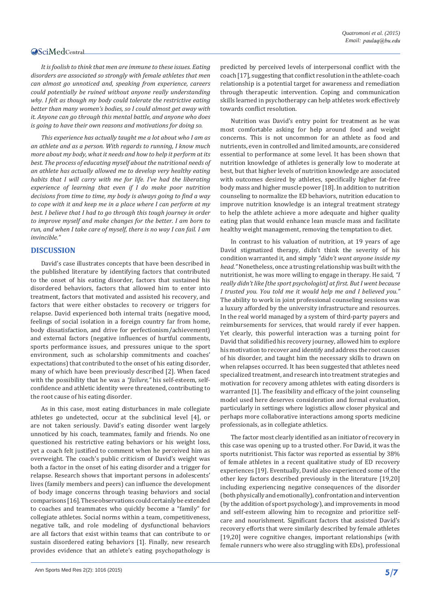*It is foolish to think that men are immune to these issues. Eating disorders are associated so strongly with female athletes that men can almost go unnoticed and, speaking from experience, careers could potentially be ruined without anyone really understanding why. I felt as though my body could tolerate the restrictive eating better than many women's bodies, so I could almost get away with it. Anyone can go through this mental battle, and anyone who does is going to have their own reasons and motivations for doing so.*

*This experience has actually taught me a lot about who I am as an athlete and as a person. With regards to running, I know much more about my body, what it needs and how to help it perform at its best. The process of educating myself about the nutritional needs of an athlete has actually allowed me to develop very healthy eating habits that I will carry with me for life. I've had the liberating experience of learning that even if I do make poor nutrition decisions from time to time, my body is always going to find a way to cope with it and keep me in a place where I can perform at my best. I believe that I had to go through this tough journey in order to improve myself and make changes for the better. I am born to run, and when I take care of myself, there is no way I can fail. I am invincible."*

#### **DISCUSSION**

David's case illustrates concepts that have been described in the published literature by identifying factors that contributed to the onset of his eating disorder, factors that sustained his disordered behaviors, factors that allowed him to enter into treatment, factors that motivated and assisted his recovery, and factors that were either obstacles to recovery or triggers for relapse. David experienced both internal traits (negative mood, feelings of social isolation in a foreign country far from home, body dissatisfaction, and drive for perfectionism/achievement) and external factors (negative influences of hurtful comments, sports performance issues, and pressures unique to the sport environment, such as scholarship commitments and coaches' expectations) that contributed to the onset of his eating disorder, many of which have been previously described [2]. When faced with the possibility that he was a *"failure,"* his self-esteem, selfconfidence and athletic identity were threatened, contributing to the root cause of his eating disorder.

As in this case, most eating disturbances in male collegiate athletes go undetected, occur at the subclinical level [4], or are not taken seriously. David's eating disorder went largely unnoticed by his coach, teammates, family and friends. No one questioned his restrictive eating behaviors or his weight loss, yet a coach felt justified to comment when he perceived him as overweight. The coach's public criticism of David's weight was both a factor in the onset of his eating disorder and a trigger for relapse. Research shows that important persons in adolescents' lives (family members and peers) can influence the development of body image concerns through teasing behaviors and social comparisons [16]. These observations could certainly be extended to coaches and teammates who quickly become a "family" for collegiate athletes. Social norms within a team, competitiveness, negative talk, and role modeling of dysfunctional behaviors are all factors that exist within teams that can contribute to or sustain disordered eating behaviors [1]. Finally, new research provides evidence that an athlete's eating psychopathology is predicted by perceived levels of interpersonal conflict with the coach [17], suggesting that conflict resolution in the athlete-coach relationship is a potential target for awareness and remediation through therapeutic intervention. Coping and communication skills learned in psychotherapy can help athletes work effectively towards conflict resolution.

Nutrition was David's entry point for treatment as he was most comfortable asking for help around food and weight concerns. This is not uncommon for an athlete as food and nutrients, even in controlled and limited amounts, are considered essential to performance at some level. It has been shown that nutrition knowledge of athletes is generally low to moderate at best, but that higher levels of nutrition knowledge are associated with outcomes desired by athletes, specifically higher fat-free body mass and higher muscle power [18]. In addition to nutrition counseling to normalize the ED behaviors, nutrition education to improve nutrition knowledge is an integral treatment strategy to help the athlete achieve a more adequate and higher quality eating plan that would enhance lean muscle mass and facilitate healthy weight management, removing the temptation to diet.

In contrast to his valuation of nutrition, at 19 years of age David stigmatized therapy, didn't think the severity of his condition warranted it, and simply *"didn't want anyone inside my head."* Nonetheless, once a trusting relationship was built with the nutritionist, he was more willing to engage in therapy. He said, *"I really didn't like [the sport psychologist] at first. But I went because I trusted you. You told me it would help me and I believed you."*  The ability to work in joint professional counseling sessions was a luxury afforded by the university infrastructure and resources. In the real world managed by a system of third-party payers and reimbursements for services, that would rarely if ever happen. Yet clearly, this powerful interaction was a turning point for David that solidified his recovery journey, allowed him to explore his motivation to recover and identify and address the root causes of his disorder, and taught him the necessary skills to drawn on when relapses occurred. It has been suggested that athletes need specialized treatment, and research into treatment strategies and motivation for recovery among athletes with eating disorders is warranted [1]. The feasibility and efficacy of the joint counseling model used here deserves consideration and formal evaluation, particularly in settings where logistics allow closer physical and perhaps more collaborative interactions among sports medicine professionals, as in collegiate athletics.

The factor most clearly identified as an initiator of recovery in this case was opening up to a trusted other. For David, it was the sports nutritionist. This factor was reported as essential by 38% of female athletes in a recent qualitative study of ED recovery experiences [19]. Eventually, David also experienced some of the other key factors described previously in the literature [19,20] including experiencing negative consequences of the disorder (both physically and emotionally), confrontation and intervention (by the addition of sport psychology), and improvements in mood and self-esteem allowing him to recognize and prioritize selfcare and nourishment. Significant factors that assisted David's recovery efforts that were similarly described by female athletes [19,20] were cognitive changes, important relationships (with female runners who were also struggling with EDs), professional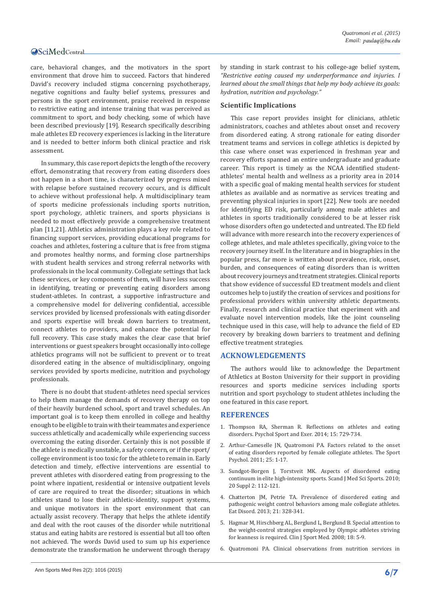care, behavioral changes, and the motivators in the sport environment that drove him to succeed. Factors that hindered David's recovery included stigma concerning psychotherapy, negative cognitions and faulty belief systems, pressures and persons in the sport environment, praise received in response to restrictive eating and intense training that was perceived as commitment to sport, and body checking, some of which have been described previously [19]. Research specifically describing male athletes ED recovery experiences is lacking in the literature and is needed to better inform both clinical practice and risk assessment.

In summary, this case report depicts the length of the recovery effort, demonstrating that recovery from eating disorders does not happen in a short time, is characterized by progress mixed with relapse before sustained recovery occurs, and is difficult to achieve without professional help. A multidisciplinary team of sports medicine professionals including sports nutrition, sport psychology, athletic trainers, and sports physicians is needed to most effectively provide a comprehensive treatment plan [11,21]. Athletics administration plays a key role related to financing support services, providing educational programs for coaches and athletes, fostering a culture that is free from stigma and promotes healthy norms, and forming close partnerships with student health services and strong referral networks with professionals in the local community. Collegiate settings that lack these services, or key components of them, will have less success in identifying, treating or preventing eating disorders among student-athletes. In contrast, a supportive infrastructure and a comprehensive model for delivering confidential, accessible services provided by licensed professionals with eating disorder and sports expertise will break down barriers to treatment, connect athletes to providers, and enhance the potential for full recovery. This case study makes the clear case that brief interventions or guest speakers brought occasionally into college athletics programs will not be sufficient to prevent or to treat disordered eating in the absence of multidisciplinary, ongoing services provided by sports medicine, nutrition and psychology professionals.

There is no doubt that student-athletes need special services to help them manage the demands of recovery therapy on top of their heavily burdened school, sport and travel schedules. An important goal is to keep them enrolled in college and healthy enough to be eligible to train with their teammates and experience success athletically and academically while experiencing success overcoming the eating disorder. Certainly this is not possible if the athlete is medically unstable, a safety concern, or if the sport/ college environment is too toxic for the athlete to remain in. Early detection and timely, effective interventions are essential to prevent athletes with disordered eating from progressing to the point where inpatient, residential or intensive outpatient levels of care are required to treat the disorder; situations in which athletes stand to lose their athletic-identity, support systems, and unique motivators in the sport environment that can actually assist recovery. Therapy that helps the athlete identify and deal with the root causes of the disorder while nutritional status and eating habits are restored is essential but all too often not achieved. The words David used to sum up his experience demonstrate the transformation he underwent through therapy

by standing in stark contrast to his college-age belief system, *"Restrictive eating caused my underperformance and injuries. I learned about the small things that help my body achieve its goals: hydration, nutrition and psychology."*

#### **Scientific Implications**

This case report provides insight for clinicians, athletic administrators, coaches and athletes about onset and recovery from disordered eating. A strong rationale for eating disorder treatment teams and services in college athletics is depicted by this case where onset was experienced in freshman year and recovery efforts spanned an entire undergraduate and graduate career. This report is timely as the NCAA identified studentathletes' mental health and wellness as a priority area in 2014 with a specific goal of making mental health services for student athletes as available and as normative as services treating and preventing physical injuries in sport [22]. New tools are needed for identifying ED risk, particularly among male athletes and athletes in sports traditionally considered to be at lesser risk whose disorders often go undetected and untreated. The ED field will advance with more research into the recovery experiences of college athletes, and male athletes specifically, giving voice to the recovery journey itself. In the literature and in biographies in the popular press, far more is written about prevalence, risk, onset, burden, and consequences of eating disorders than is written about recovery journeys and treatment strategies. Clinical reports that show evidence of successful ED treatment models and client outcomes help to justify the creation of services and positions for professional providers within university athletic departments. Finally, research and clinical practice that experiment with and evaluate novel intervention models, like the joint counseling technique used in this case, will help to advance the field of ED recovery by breaking down barriers to treatment and defining effective treatment strategies.

#### **ACKNOWLEDGEMENTS**

The authors would like to acknowledge the Department of Athletics at Boston University for their support in providing resources and sports medicine services including sports nutrition and sport psychology to student athletes including the one featured in this case report.

#### **REFERENCES**

- 1. [Thompson RA, Sherman R. Reflections on athletes and eating](http://www.sciencedirect.com/science/article/pii/S146902921400082X)  [disorders. Psychol Sport and Exer. 2014; 15: 729-734.](http://www.sciencedirect.com/science/article/pii/S146902921400082X)
- 2. [Arthur-Cameselle JN, Quatromoni PA. Factors related to the onset](http://journals.humankinetics.com/tsp-back-issues/tsp-volume-25-issue-1-march/factors-related-to-the-onset-of-eating-disorders-reported-by-female-collegiate-athletes)  [of eating disorders reported by female collegiate athletes. The Sport](http://journals.humankinetics.com/tsp-back-issues/tsp-volume-25-issue-1-march/factors-related-to-the-onset-of-eating-disorders-reported-by-female-collegiate-athletes)  [Psychol. 2011; 25: 1-17.](http://journals.humankinetics.com/tsp-back-issues/tsp-volume-25-issue-1-march/factors-related-to-the-onset-of-eating-disorders-reported-by-female-collegiate-athletes)
- 3. [Sundgot-Borgen J, Torstveit MK. Aspects of disordered eating](http://www.ncbi.nlm.nih.gov/pubmed/20840569)  [continuum in elite high-intensity sports. Scand J Med Sci Sports. 2010;](http://www.ncbi.nlm.nih.gov/pubmed/20840569)  [20 Suppl 2: 112-121.](http://www.ncbi.nlm.nih.gov/pubmed/20840569)
- 4. [Chatterton JM, Petrie TA. Prevalence of disordered eating and](http://www.ncbi.nlm.nih.gov/pubmed/23767673)  [pathogenic weight control behaviors among male collegiate athletes.](http://www.ncbi.nlm.nih.gov/pubmed/23767673)  [Eat Disord. 2013; 21: 328-341.](http://www.ncbi.nlm.nih.gov/pubmed/23767673)
- 5. [Hagmar M, Hirschberg AL, Berglund L, Berglund B. Special attention to](http://www.ncbi.nlm.nih.gov/pubmed/18185032)  [the weight-control strategies employed by Olympic athletes striving](http://www.ncbi.nlm.nih.gov/pubmed/18185032)  [for leanness is required. Clin J Sport Med. 2008; 18: 5-9.](http://www.ncbi.nlm.nih.gov/pubmed/18185032)
- 6. [Quatromoni PA. Clinical observations from nutrition services in](http://www.ncbi.nlm.nih.gov/pubmed/18375227)